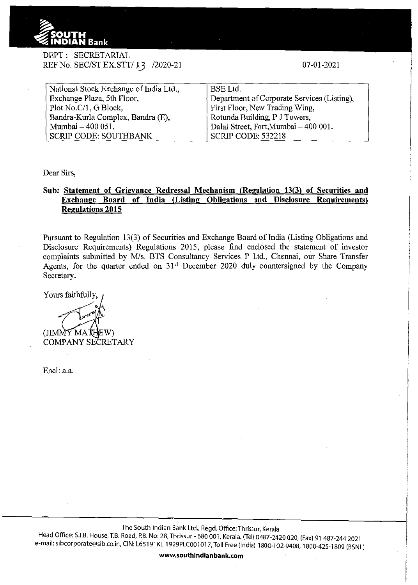

## DEPT: SECRETARIAL REF No. SEC/ST EX.STT/ $\parallel$ 13 /2020-21

07-01-2021

| National Stock Exchange of India Ltd., | <b>BSE</b> Ltd.                             |
|----------------------------------------|---------------------------------------------|
| Exchange Plaza, 5th Floor,             | Department of Corporate Services (Listing), |
| Plot No.C/1, G Block,                  | First Floor, New Trading Wing,              |
| Bandra-Kurla Complex, Bandra (E),      | Rotunda Building, P J Towers.               |
| Mumbai - 400 051.                      | Dalal Street, Fort, Mumbai - 400 001.       |
| <b>SCRIP CODE: SOUTHBANK</b>           | <b>SCRIP CODE: 532218</b>                   |

Dear Sirs,

## **Sub: Statement of Grievance Redressal Mechanism (Regulation** 13(3) **of Securities and Exchange Board of India (Listing Obligations and Disclosure Requirements) Regulations 2015**

Pursuant to Regulation 13(3) of Securities and Exchange Board of India (Listing Obligations and Disclosure Requirements) Regulations 2015, please find enclosed the statement of investor complaints submitted by M/s. BTS Consultancy Services P Ltd., Chennai, our Share Transfer Agents, for the quarter ended on  $31<sup>st</sup>$  December 2020 duly countersigned by the Company Secretary.

Yours faithfully,

 $(JIMM\tilde{Y}MA)$ 

COMPANY SECRETARY

Encl: a.a.

The South Indian Bank Ltd., Regd. Office:Thrissur, Kerala

Head Office: S.I.B. House, T.B. Road, P.B. No: 28, Thrissur- 680 001, Kerala. (Tel) 0487-2420 020, (Fax) 91 487-244 2021 e-mail: sibcorporate@sib.co.in, CIN: L65191 KL 1929PLC001 017, Toll Free (India) 1800·102-9408, 1800-425-1809 (BSNL)

**www.southindianbank.com**